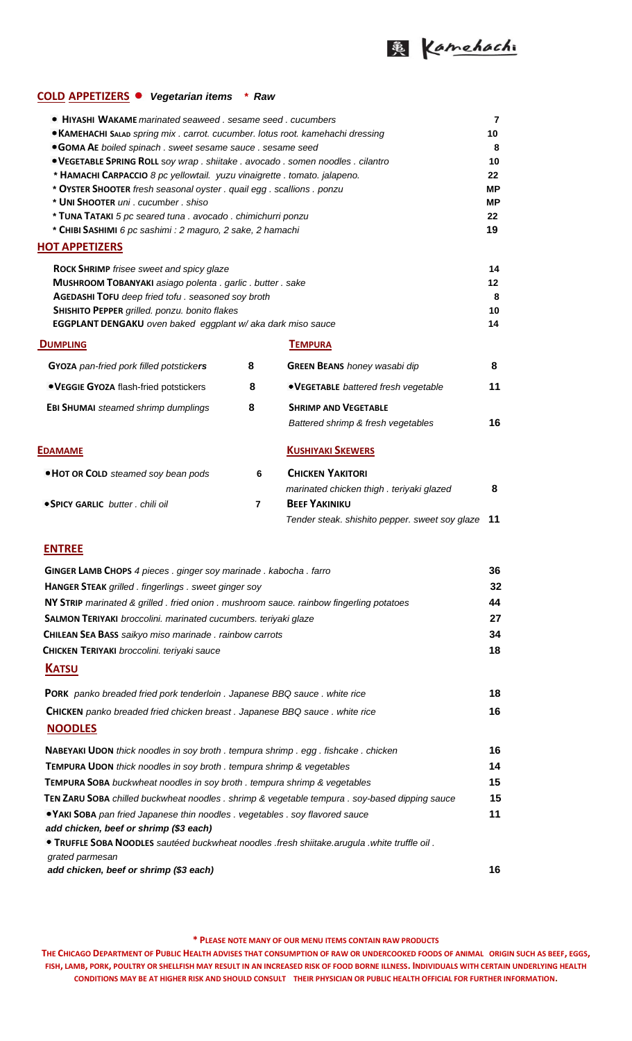

## **COLD APPETIZERS** *Vegetarian items \* Raw*

| • HIYASHI WAKAME marinated seaweed, sesame seed, cucumbers<br>• KAMEHACHI SALAD spring mix . carrot. cucumber. lotus root. kamehachi dressing<br><b>GOMA AE</b> boiled spinach . sweet sesame sauce . sesame seed<br>. VEGETABLE SPRING ROLL soy wrap . shiitake . avocado . somen noodles . cilantro<br>* HAMACHI CARPACCIO 8 pc yellowtail. yuzu vinaigrette . tomato. jalapeno.<br>* OYSTER SHOOTER fresh seasonal oyster . quail egg . scallions . ponzu<br>* UNI SHOOTER uni. cucumber. shiso<br>* TUNA TATAKI 5 pc seared tuna . avocado . chimichurri ponzu<br>* CHIBI SASHIMI 6 pc sashimi : 2 maguro, 2 sake, 2 hamachi<br><b>HOT APPETIZERS</b> |                                                                 |                                                                                              | 7<br>10<br>8<br>10<br>22<br><b>MP</b><br>МP<br>22<br>19 |  |  |
|-----------------------------------------------------------------------------------------------------------------------------------------------------------------------------------------------------------------------------------------------------------------------------------------------------------------------------------------------------------------------------------------------------------------------------------------------------------------------------------------------------------------------------------------------------------------------------------------------------------------------------------------------------------|-----------------------------------------------------------------|----------------------------------------------------------------------------------------------|---------------------------------------------------------|--|--|
| <b>ROCK SHRIMP</b> frisee sweet and spicy glaze<br>MUSHROOM TOBANYAKI asiago polenta . garlic . butter . sake<br>AGEDASHI TOFU deep fried tofu. seasoned soy broth<br>SHISHITO PEPPER grilled. ponzu. bonito flakes<br>EGGPLANT DENGAKU oven baked eggplant w/ aka dark miso sauce                                                                                                                                                                                                                                                                                                                                                                        |                                                                 |                                                                                              | 14<br>12<br>8<br>10<br>14                               |  |  |
| <b>DUMPLING</b>                                                                                                                                                                                                                                                                                                                                                                                                                                                                                                                                                                                                                                           |                                                                 | <b>TEMPURA</b>                                                                               |                                                         |  |  |
| GYOZA pan-fried pork filled potstickers                                                                                                                                                                                                                                                                                                                                                                                                                                                                                                                                                                                                                   | 8                                                               | <b>GREEN BEANS</b> honey wasabi dip                                                          | 8                                                       |  |  |
| • VEGGIE GYOZA flash-fried potstickers                                                                                                                                                                                                                                                                                                                                                                                                                                                                                                                                                                                                                    | 8                                                               | • VEGETABLE battered fresh vegetable                                                         | 11                                                      |  |  |
| <b>EBI SHUMAI</b> steamed shrimp dumplings                                                                                                                                                                                                                                                                                                                                                                                                                                                                                                                                                                                                                | 8                                                               | <b>SHRIMP AND VEGETABLE</b><br>Battered shrimp & fresh vegetables                            | 16                                                      |  |  |
| <b>EDAMAME</b>                                                                                                                                                                                                                                                                                                                                                                                                                                                                                                                                                                                                                                            |                                                                 | <b>KUSHIYAKI SKEWERS</b>                                                                     |                                                         |  |  |
| • HOT OR COLD steamed soy bean pods<br><b>• SPICY GARLIC</b> butter . chili oil                                                                                                                                                                                                                                                                                                                                                                                                                                                                                                                                                                           | 6<br>$\overline{7}$                                             | <b>CHICKEN YAKITORI</b><br>marinated chicken thigh . teriyaki glazed<br><b>BEEF YAKINIKU</b> | 8                                                       |  |  |
|                                                                                                                                                                                                                                                                                                                                                                                                                                                                                                                                                                                                                                                           |                                                                 | Tender steak. shishito pepper. sweet soy glaze                                               | 11                                                      |  |  |
| <b>ENTREE</b>                                                                                                                                                                                                                                                                                                                                                                                                                                                                                                                                                                                                                                             |                                                                 |                                                                                              |                                                         |  |  |
| <b>GINGER LAMB CHOPS</b> 4 pieces . ginger soy marinade . kabocha . farro                                                                                                                                                                                                                                                                                                                                                                                                                                                                                                                                                                                 |                                                                 |                                                                                              | 36                                                      |  |  |
| HANGER STEAK grilled . fingerlings . sweet ginger soy                                                                                                                                                                                                                                                                                                                                                                                                                                                                                                                                                                                                     |                                                                 |                                                                                              |                                                         |  |  |
| NY STRIP marinated & grilled . fried onion . mushroom sauce. rainbow fingerling potatoes                                                                                                                                                                                                                                                                                                                                                                                                                                                                                                                                                                  |                                                                 |                                                                                              |                                                         |  |  |
|                                                                                                                                                                                                                                                                                                                                                                                                                                                                                                                                                                                                                                                           | SALMON TERIYAKI broccolini. marinated cucumbers. teriyaki glaze |                                                                                              |                                                         |  |  |
| CHILEAN SEA BASS saikyo miso marinade . rainbow carrots                                                                                                                                                                                                                                                                                                                                                                                                                                                                                                                                                                                                   |                                                                 |                                                                                              |                                                         |  |  |
| CHICKEN TERIYAKI broccolini. teriyaki sauce                                                                                                                                                                                                                                                                                                                                                                                                                                                                                                                                                                                                               |                                                                 |                                                                                              |                                                         |  |  |
| <b>KATSU</b>                                                                                                                                                                                                                                                                                                                                                                                                                                                                                                                                                                                                                                              |                                                                 |                                                                                              |                                                         |  |  |
| <b>PORK</b> panko breaded fried pork tenderloin . Japanese BBQ sauce . white rice                                                                                                                                                                                                                                                                                                                                                                                                                                                                                                                                                                         |                                                                 |                                                                                              |                                                         |  |  |
| <b>CHICKEN</b> panko breaded fried chicken breast. Japanese BBQ sauce. white rice<br><b>NOODLES</b>                                                                                                                                                                                                                                                                                                                                                                                                                                                                                                                                                       |                                                                 |                                                                                              | 16                                                      |  |  |
| NABEYAKI UDON thick noodles in soy broth . tempura shrimp . egg . fishcake . chicken                                                                                                                                                                                                                                                                                                                                                                                                                                                                                                                                                                      |                                                                 |                                                                                              | 16                                                      |  |  |
| TEMPURA UDON thick noodles in soy broth . tempura shrimp & vegetables                                                                                                                                                                                                                                                                                                                                                                                                                                                                                                                                                                                     |                                                                 |                                                                                              |                                                         |  |  |
| TEMPURA SOBA buckwheat noodles in soy broth . tempura shrimp & vegetables                                                                                                                                                                                                                                                                                                                                                                                                                                                                                                                                                                                 |                                                                 |                                                                                              |                                                         |  |  |
| TEN ZARU SOBA chilled buckwheat noodles . shrimp & vegetable tempura . soy-based dipping sauce                                                                                                                                                                                                                                                                                                                                                                                                                                                                                                                                                            |                                                                 |                                                                                              |                                                         |  |  |
| • YAKI SOBA pan fried Japanese thin noodles . vegetables . soy flavored sauce<br>add chicken, beef or shrimp (\$3 each)                                                                                                                                                                                                                                                                                                                                                                                                                                                                                                                                   |                                                                 |                                                                                              | 11                                                      |  |  |
| . TRUFFLE SOBA NOODLES sautéed buckwheat noodles .fresh shiitake.arugula .white truffle oil .<br>grated parmesan                                                                                                                                                                                                                                                                                                                                                                                                                                                                                                                                          |                                                                 |                                                                                              |                                                         |  |  |
| add chicken, beef or shrimp (\$3 each)                                                                                                                                                                                                                                                                                                                                                                                                                                                                                                                                                                                                                    |                                                                 |                                                                                              | 16                                                      |  |  |

**\* PLEASE NOTE MANY OF OUR MENU ITEMS CONTAIN RAW PRODUCTS**

**THE CHICAGO DEPARTMENT OF PUBLIC HEALTH ADVISES THAT CONSUMPTION OF RAW OR UNDERCOOKED FOODS OF ANIMAL ORIGIN SUCH AS BEEF, EGGS, FISH, LAMB, PORK, POULTRY OR SHELLFISH MAY RESULT IN AN INCREASED RISK OF FOOD BORNE ILLNESS. INDIVIDUALS WITH CERTAIN UNDERLYING HEALTH CONDITIONS MAY BE AT HIGHER RISK AND SHOULD CONSULT THEIR PHYSICIAN OR PUBLIC HEALTH OFFICIAL FOR FURTHER INFORMATION.**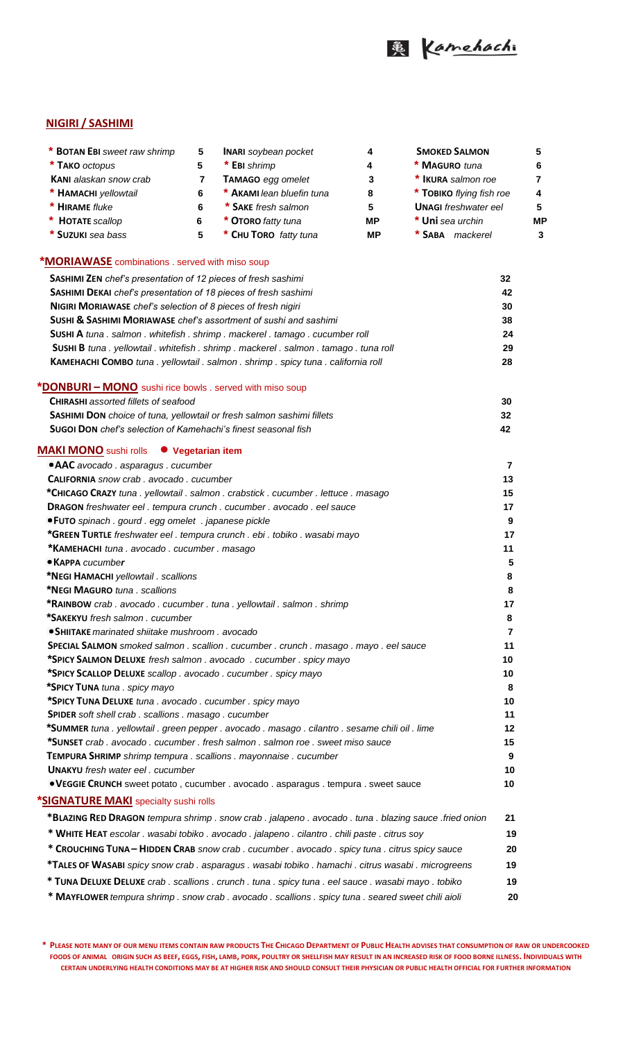

## **NIGIRI / SASHIMI**

| * BOTAN EBI sweet raw shrimp                                                                   | 5  | <b>INARI</b> soybean pocket | 4   | <b>SMOKED SALMON</b>        | 5              |
|------------------------------------------------------------------------------------------------|----|-----------------------------|-----|-----------------------------|----------------|
| * TAKO octopus                                                                                 | 5  | * EBI shrimp                | 4   | * MAGURO tuna               | 6              |
| <b>KANI</b> alaskan snow crab                                                                  | 7  | <b>TAMAGO</b> egg omelet    | 3   | * IKURA salmon roe          | $\overline{7}$ |
| * HAMACHI yellowtail                                                                           | 6  | * AKAMI lean bluefin tuna   | 8   | * TOBIKO flying fish roe    | 4              |
| * HIRAME fluke                                                                                 | 6  | * SAKE fresh salmon         | 5   | <b>UNAGI</b> freshwater eel | 5              |
| <b>HOTATE</b> scallop                                                                          | 6  | * OTORO fatty tuna          | MP. | * Uni sea urchin            | <b>MP</b>      |
| * SUZUKI sea bass                                                                              | 5  | * CHU TORO fatty tuna       | MР  | * SABA mackerel             | 3              |
| <b>*MORIAWASE</b> combinations . served with miso soup                                         |    |                             |     |                             |                |
| SASHIMI ZEN chef's presentation of 12 pieces of fresh sashimi                                  |    |                             |     | 32                          |                |
| SASHIMI DEKAI chef's presentation of 18 pieces of fresh sashimi                                | 42 |                             |     |                             |                |
| <b>NIGIRI MORIAWASE</b> chef's selection of 8 pieces of fresh nigiri                           | 30 |                             |     |                             |                |
| <b>SUSHI &amp; SASHIMI MORIAWASE</b> chef's assortment of sushi and sashimi                    |    |                             |     | 38                          |                |
| SUSHI A tuna . salmon . whitefish . shrimp . mackerel . tamago . cucumber roll                 | 24 |                             |     |                             |                |
| <b>SUSHI B</b> tuna . yellowtail . whitefish . shrimp . mackerel . salmon . tamago . tuna roll | 29 |                             |     |                             |                |
| <b>KAMEHACHI COMBO</b> tuna . yellowtail . salmon . shrimp . spicy tuna . california roll      |    |                             |     | 28                          |                |
| *DONBURI – MONO sushi rice bowls . served with miso soup                                       |    |                             |     |                             |                |
| <b>CHIRASHI</b> assorted fillets of seafood                                                    | 30 |                             |     |                             |                |
| <b>SASHIMI DON</b> choice of tuna, vellowtail or fresh salmon sashimi fillets                  |    |                             |     | 32                          |                |

| <b>Sugoj Don</b> chef's selection of Kamehachi's finest seasonal fish |  |
|-----------------------------------------------------------------------|--|

## **SASHIMI DON** *choice of tuna, yellowtail or fresh salmon sashimi fillets* **32 SUGOI DON** *chef's selection of Kamehachi's finest seasonal fish* **42 MAKI MONO** sushi rolls **Vegetarian item AAC** *avocado . asparagus . cucumber* **7 CALIFORNIA** *snow crab . avocado . cucumber* **13 \*CHICAGO CRAZY** *tuna . yellowtail . salmon . crabstick . cucumber . lettuce . masago* **15 DRAGON** *freshwater eel . tempura crunch . cucumber . avocado . eel sauce* **17 FUTO** *spinach . gourd . egg omelet . japanese pickle* **9 \*GREEN TURTLE** *freshwater eel . tempura crunch . ebi . tobiko . wasabi mayo* **17 \*KAMEHACHI** *tuna . avocado . cucumber . masago* **11 KAPPA** *cucumber* **5 \*NEGI HAMACHI** *yellowtail . scallions* **8 \*NEGI MAGURO** *tuna . scallions* **8 \*RAINBOW** *crab . avocado . cucumber . tuna . yellowtail . salmon . shrimp* **17 \*SAKEKYU** *fresh salmon . cucumber* **8 SHIITAKE** *marinated shiitake mushroom . avocado* **7 SPECIAL SALMON** *smoked salmon . scallion . cucumber . crunch . masago . mayo . eel sauce* **11 \*SPICY SALMON DELUXE** *fresh salmon . avocado . cucumber . spicy mayo* **10 \*SPICY SCALLOP DELUXE** *scallop . avocado . cucumber . spicy mayo* **10 \*SPICY TUNA** *tuna . spicy mayo* **8 \*SPICY TUNA DELUXE** *tuna . avocado . cucumber . spicy mayo* **10 SPIDER** *soft shell crab . scallions . masago . cucumber* **11 \*SUMMER** *tuna . yellowtail . green pepper . avocado . masago . cilantro . sesame chili oil . lime* **12 \*SUNSET** *crab . avocado . cucumber . fresh salmon . salmon roe . sweet miso sauce* **15 TEMPURA SHRIMP** *shrimp tempura . scallions . mayonnaise . cucumber* **9** *L***IVAL** *D***<sub>NA</sub>** *<b><i>I*<sub>N</sub> **10** *P***<sub>N</sub>** *I*<sub>N</sub> *I P<sub>N</sub> I***<sub>N</sub> <b>***I*  **VEGGIE CRUNCH** sweet potato , cucumber . avocado . asparagus . tempura . sweet sauce **10 \*SIGNATURE MAKI** specialty sushi rolls  **\*BLAZING RED DRAGON** *tempura shrimp . snow crab . jalapeno . avocado . tuna . blazing sauce .fried onion* **21 \* WHITE HEAT** *escolar . wasabi tobiko . avocado . jalapeno . cilantro . chili paste . citrus soy* **19 \* CROUCHING TUNA – HIDDEN CRAB** *snow crab . cucumber . avocado . spicy tuna . citrus spicy sauce* **20 \*TALES OF WASABI** *spicy snow crab . asparagus . wasabi tobiko . hamachi . citrus wasabi . microgreens* **19**

 **\* TUNA DELUXE DELUXE** *crab . scallions . crunch . tuna . spicy tuna . eel sauce . wasabi mayo . tobiko* **19 \* MAYFLOWER** *tempura shrimp . snow crab . avocado . scallions . spicy tuna . seared sweet chili aioli* **20** 

\* PLEASE NOTE MANY OF OUR MENU ITEMS CONTAIN RAW PRODUCTS THE CHICAGO DEPARTMENT OF PUBLIC HEALTH ADVISES THAT CONSUMPTION OF RAW OR UNDERCOOKED FOODS OF ANIMAL ORIGIN SUCH AS BEEF, EGGS, FISH, LAMB, PORK, POULTRY OR SHELLFISH MAY RESULT IN AN INCREASED RISK OF FOOD BORNE ILLNESS. INDIVIDUALS WITH **CERTAIN UNDERLYING HEALTH CONDITIONS MAY BE AT HIGHER RISK AND SHOULD CONSULT THEIR PHYSICIAN OR PUBLIC HEALTH OFFICIAL FOR FURTHER INFORMATION**